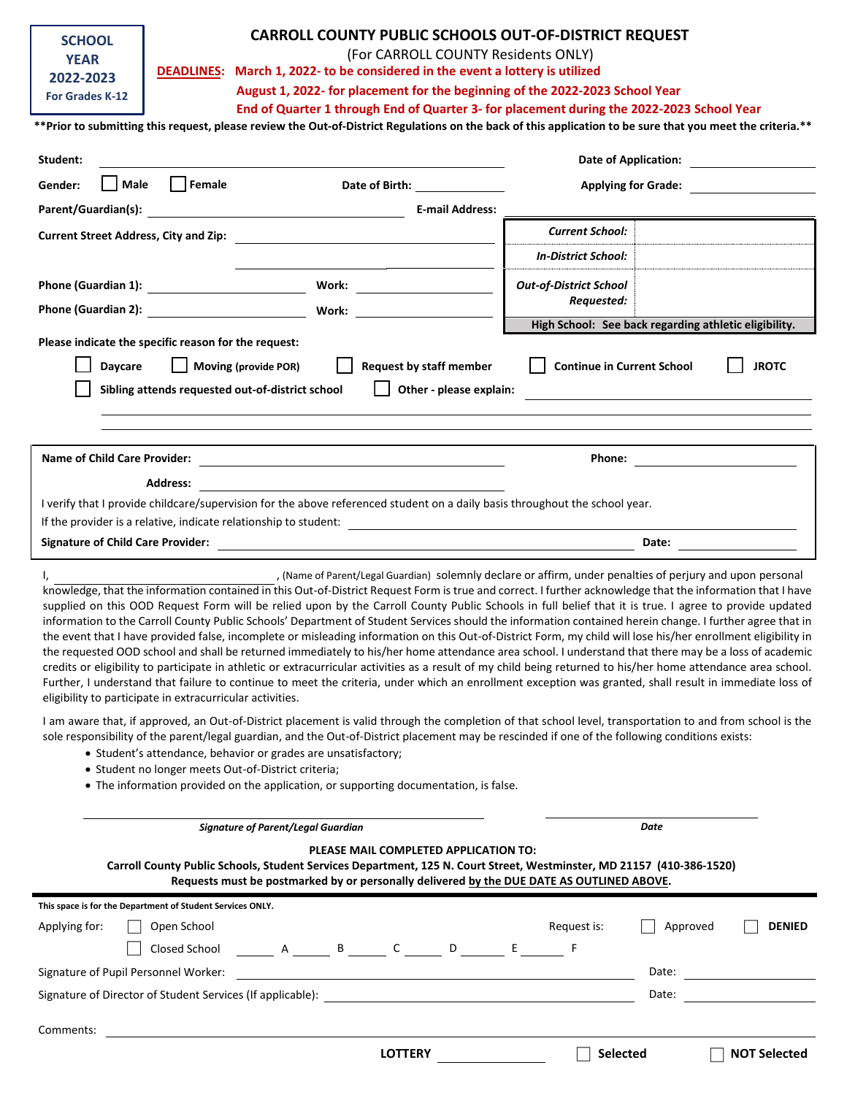| <b>SCHOOL</b>                                                                                                                                                                                                                                                                                                                                                                                                                                                                                                                                                                                                                                                                                                                                                                                                                                                                                                                | <b>CARROLL COUNTY PUBLIC SCHOOLS OUT-OF-DISTRICT REQUEST</b> |                                                                                                                                                                                                                                                                                                                                                                                                                                                                                                                                |                                                          |                            |  |  |  |
|------------------------------------------------------------------------------------------------------------------------------------------------------------------------------------------------------------------------------------------------------------------------------------------------------------------------------------------------------------------------------------------------------------------------------------------------------------------------------------------------------------------------------------------------------------------------------------------------------------------------------------------------------------------------------------------------------------------------------------------------------------------------------------------------------------------------------------------------------------------------------------------------------------------------------|--------------------------------------------------------------|--------------------------------------------------------------------------------------------------------------------------------------------------------------------------------------------------------------------------------------------------------------------------------------------------------------------------------------------------------------------------------------------------------------------------------------------------------------------------------------------------------------------------------|----------------------------------------------------------|----------------------------|--|--|--|
| <b>YEAR</b>                                                                                                                                                                                                                                                                                                                                                                                                                                                                                                                                                                                                                                                                                                                                                                                                                                                                                                                  | (For CARROLL COUNTY Residents ONLY)                          |                                                                                                                                                                                                                                                                                                                                                                                                                                                                                                                                |                                                          |                            |  |  |  |
| 2022-2023                                                                                                                                                                                                                                                                                                                                                                                                                                                                                                                                                                                                                                                                                                                                                                                                                                                                                                                    |                                                              | DEADLINES: March 1, 2022- to be considered in the event a lottery is utilized                                                                                                                                                                                                                                                                                                                                                                                                                                                  |                                                          |                            |  |  |  |
| <b>For Grades K-12</b>                                                                                                                                                                                                                                                                                                                                                                                                                                                                                                                                                                                                                                                                                                                                                                                                                                                                                                       |                                                              | August 1, 2022- for placement for the beginning of the 2022-2023 School Year                                                                                                                                                                                                                                                                                                                                                                                                                                                   |                                                          |                            |  |  |  |
|                                                                                                                                                                                                                                                                                                                                                                                                                                                                                                                                                                                                                                                                                                                                                                                                                                                                                                                              |                                                              | End of Quarter 1 through End of Quarter 3- for placement during the 2022-2023 School Year                                                                                                                                                                                                                                                                                                                                                                                                                                      |                                                          |                            |  |  |  |
|                                                                                                                                                                                                                                                                                                                                                                                                                                                                                                                                                                                                                                                                                                                                                                                                                                                                                                                              |                                                              | ** Prior to submitting this request, please review the Out-of-District Regulations on the back of this application to be sure that you meet the criteria.**                                                                                                                                                                                                                                                                                                                                                                    |                                                          |                            |  |  |  |
| Student:                                                                                                                                                                                                                                                                                                                                                                                                                                                                                                                                                                                                                                                                                                                                                                                                                                                                                                                     |                                                              |                                                                                                                                                                                                                                                                                                                                                                                                                                                                                                                                | Date of Application: Note that the state of Application: |                            |  |  |  |
| Male<br>Gender:                                                                                                                                                                                                                                                                                                                                                                                                                                                                                                                                                                                                                                                                                                                                                                                                                                                                                                              | Female                                                       | Date of Birth: _______________                                                                                                                                                                                                                                                                                                                                                                                                                                                                                                 |                                                          | <b>Applying for Grade:</b> |  |  |  |
|                                                                                                                                                                                                                                                                                                                                                                                                                                                                                                                                                                                                                                                                                                                                                                                                                                                                                                                              |                                                              | <b>E-mail Address:</b>                                                                                                                                                                                                                                                                                                                                                                                                                                                                                                         |                                                          |                            |  |  |  |
|                                                                                                                                                                                                                                                                                                                                                                                                                                                                                                                                                                                                                                                                                                                                                                                                                                                                                                                              |                                                              |                                                                                                                                                                                                                                                                                                                                                                                                                                                                                                                                | <b>Current School:</b>                                   |                            |  |  |  |
|                                                                                                                                                                                                                                                                                                                                                                                                                                                                                                                                                                                                                                                                                                                                                                                                                                                                                                                              |                                                              |                                                                                                                                                                                                                                                                                                                                                                                                                                                                                                                                | <b>In-District School:</b>                               |                            |  |  |  |
|                                                                                                                                                                                                                                                                                                                                                                                                                                                                                                                                                                                                                                                                                                                                                                                                                                                                                                                              |                                                              |                                                                                                                                                                                                                                                                                                                                                                                                                                                                                                                                | <b>Out-of-District School</b>                            |                            |  |  |  |
|                                                                                                                                                                                                                                                                                                                                                                                                                                                                                                                                                                                                                                                                                                                                                                                                                                                                                                                              |                                                              |                                                                                                                                                                                                                                                                                                                                                                                                                                                                                                                                | Requested:                                               |                            |  |  |  |
|                                                                                                                                                                                                                                                                                                                                                                                                                                                                                                                                                                                                                                                                                                                                                                                                                                                                                                                              |                                                              |                                                                                                                                                                                                                                                                                                                                                                                                                                                                                                                                | High School: See back regarding athletic eligibility.    |                            |  |  |  |
| Please indicate the specific reason for the request:                                                                                                                                                                                                                                                                                                                                                                                                                                                                                                                                                                                                                                                                                                                                                                                                                                                                         |                                                              |                                                                                                                                                                                                                                                                                                                                                                                                                                                                                                                                |                                                          |                            |  |  |  |
| <b>Daycare</b>                                                                                                                                                                                                                                                                                                                                                                                                                                                                                                                                                                                                                                                                                                                                                                                                                                                                                                               | Moving (provide POR)                                         | Request by staff member                                                                                                                                                                                                                                                                                                                                                                                                                                                                                                        | <b>Continue in Current School</b>                        | <b>JROTC</b>               |  |  |  |
| Other - please explain:<br>Sibling attends requested out-of-district school                                                                                                                                                                                                                                                                                                                                                                                                                                                                                                                                                                                                                                                                                                                                                                                                                                                  |                                                              |                                                                                                                                                                                                                                                                                                                                                                                                                                                                                                                                |                                                          |                            |  |  |  |
|                                                                                                                                                                                                                                                                                                                                                                                                                                                                                                                                                                                                                                                                                                                                                                                                                                                                                                                              |                                                              |                                                                                                                                                                                                                                                                                                                                                                                                                                                                                                                                |                                                          |                            |  |  |  |
|                                                                                                                                                                                                                                                                                                                                                                                                                                                                                                                                                                                                                                                                                                                                                                                                                                                                                                                              |                                                              |                                                                                                                                                                                                                                                                                                                                                                                                                                                                                                                                |                                                          |                            |  |  |  |
|                                                                                                                                                                                                                                                                                                                                                                                                                                                                                                                                                                                                                                                                                                                                                                                                                                                                                                                              |                                                              |                                                                                                                                                                                                                                                                                                                                                                                                                                                                                                                                |                                                          |                            |  |  |  |
|                                                                                                                                                                                                                                                                                                                                                                                                                                                                                                                                                                                                                                                                                                                                                                                                                                                                                                                              |                                                              |                                                                                                                                                                                                                                                                                                                                                                                                                                                                                                                                |                                                          |                            |  |  |  |
| <b>Address:</b>                                                                                                                                                                                                                                                                                                                                                                                                                                                                                                                                                                                                                                                                                                                                                                                                                                                                                                              |                                                              |                                                                                                                                                                                                                                                                                                                                                                                                                                                                                                                                |                                                          |                            |  |  |  |
| I verify that I provide childcare/supervision for the above referenced student on a daily basis throughout the school year.                                                                                                                                                                                                                                                                                                                                                                                                                                                                                                                                                                                                                                                                                                                                                                                                  |                                                              |                                                                                                                                                                                                                                                                                                                                                                                                                                                                                                                                |                                                          |                            |  |  |  |
|                                                                                                                                                                                                                                                                                                                                                                                                                                                                                                                                                                                                                                                                                                                                                                                                                                                                                                                              |                                                              |                                                                                                                                                                                                                                                                                                                                                                                                                                                                                                                                |                                                          |                            |  |  |  |
|                                                                                                                                                                                                                                                                                                                                                                                                                                                                                                                                                                                                                                                                                                                                                                                                                                                                                                                              |                                                              | Signature of Child Care Provider: and the contract of Child Care Provider:                                                                                                                                                                                                                                                                                                                                                                                                                                                     |                                                          |                            |  |  |  |
| , (Name of Parent/Legal Guardian) solemnly declare or affirm, under penalties of perjury and upon personal<br>I,<br>knowledge, that the information contained in this Out-of-District Request Form is true and correct. I further acknowledge that the information that I have<br>supplied on this OOD Request Form will be relied upon by the Carroll County Public Schools in full belief that it is true. I agree to provide updated<br>information to the Carroll County Public Schools' Department of Student Services should the information contained herein change. I further agree that in<br>the event that I have provided false, incomplete or misleading information on this Out-of-District Form, my child will lose his/her enrollment eligibility in<br>the requested OOD school and shall be returned immediately to his/her home attendance area school. I understand that there may be a loss of academic |                                                              |                                                                                                                                                                                                                                                                                                                                                                                                                                                                                                                                |                                                          |                            |  |  |  |
| eligibility to participate in extracurricular activities.                                                                                                                                                                                                                                                                                                                                                                                                                                                                                                                                                                                                                                                                                                                                                                                                                                                                    |                                                              | credits or eligibility to participate in athletic or extracurricular activities as a result of my child being returned to his/her home attendance area school.<br>Further, I understand that failure to continue to meet the criteria, under which an enrollment exception was granted, shall result in immediate loss of                                                                                                                                                                                                      |                                                          |                            |  |  |  |
|                                                                                                                                                                                                                                                                                                                                                                                                                                                                                                                                                                                                                                                                                                                                                                                                                                                                                                                              |                                                              | I am aware that, if approved, an Out-of-District placement is valid through the completion of that school level, transportation to and from school is the<br>sole responsibility of the parent/legal guardian, and the Out-of-District placement may be rescinded if one of the following conditions exists:<br>• Student's attendance, behavior or grades are unsatisfactory;<br>• Student no longer meets Out-of-District criteria;<br>• The information provided on the application, or supporting documentation, is false. |                                                          |                            |  |  |  |
|                                                                                                                                                                                                                                                                                                                                                                                                                                                                                                                                                                                                                                                                                                                                                                                                                                                                                                                              |                                                              | <b>Signature of Parent/Legal Guardian</b>                                                                                                                                                                                                                                                                                                                                                                                                                                                                                      | Date                                                     |                            |  |  |  |
| PLEASE MAIL COMPLETED APPLICATION TO:                                                                                                                                                                                                                                                                                                                                                                                                                                                                                                                                                                                                                                                                                                                                                                                                                                                                                        |                                                              |                                                                                                                                                                                                                                                                                                                                                                                                                                                                                                                                |                                                          |                            |  |  |  |
| Carroll County Public Schools, Student Services Department, 125 N. Court Street, Westminster, MD 21157 (410-386-1520)                                                                                                                                                                                                                                                                                                                                                                                                                                                                                                                                                                                                                                                                                                                                                                                                        |                                                              |                                                                                                                                                                                                                                                                                                                                                                                                                                                                                                                                |                                                          |                            |  |  |  |

| Requests must be postmarked by or personally delivered by the DUE DATE AS OUTLINED ABOVE. |                   |                 |                           |  |  |  |  |
|-------------------------------------------------------------------------------------------|-------------------|-----------------|---------------------------|--|--|--|--|
| This space is for the Department of Student Services ONLY.                                |                   |                 |                           |  |  |  |  |
| Applying for:<br>Open School                                                              |                   | Request is:     | Approved<br><b>DENIED</b> |  |  |  |  |
| A B<br>Closed School                                                                      | $\mathsf{C}$<br>D | F<br>E.         |                           |  |  |  |  |
| Signature of Pupil Personnel Worker:                                                      |                   |                 | Date:                     |  |  |  |  |
| Signature of Director of Student Services (If applicable):                                |                   | Date:           |                           |  |  |  |  |
|                                                                                           |                   |                 |                           |  |  |  |  |
| Comments:                                                                                 |                   |                 |                           |  |  |  |  |
|                                                                                           | <b>LOTTERY</b>    | <b>Selected</b> | <b>NOT Selected</b>       |  |  |  |  |